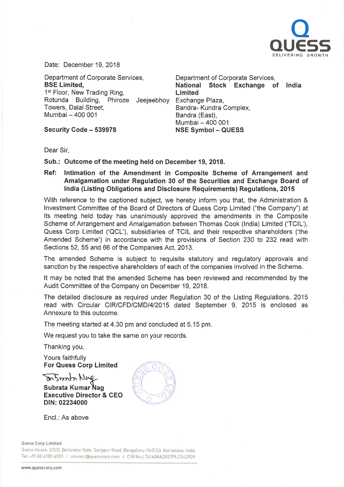

Date: December 19, 2018

Department of Corporate Services, BSE Limited, 1<sup>st</sup> Floor, New Trading Ring, Rotunda Building, Phiroze Jeejeebhoy Exchange Plaza, Towers, Dalal Street, Mumbai - 400 001

Security Code - 539978

Department of Corporate Services, National Stock Exchange of Ind Limited Bandra- Kundra Complex, Bandra (East), Mumbai - 400 001 **NSE Symbol - QUESS** 

Dear Sir,

Sub.: Outcome of the meeting held on December 19, 2018.

Ref: Intimation of the Amendment in Composite Scheme of Arrangement and Amalgamation under Regulation 30 of the Securities and Exchange Board of India (Listing Obligations and Disclosure Requirements) Regulations, 2015

With reference to the captioned subject, we hereby inform you that, the Administration & Investment Committee of the Board of Directors of Quess Corp Limited ("the Company") at its meeting held today has unanimously approved the amendments in the Composite Scheme of Arrangement and Amalgamation between Thomas Cook (India) Limited ('TCIL'), Quess Corp Limited ('QCL'), subsidiaries of TCIL and their respective shareholders ('the Amended Scheme') in accordance with the provisions of Section 230 to 232 read with Sections 52, 55 and 66 of the Companies Act, 2013.

The amended Scheme is subject to requisite statutory and regulatory approvals and sanction by the respective shareholders of each of the companies involved in the Scheme.

It may be noted that the amended Scheme has been reviewed and recommended by the Audit Committee of the Company on December 19, 2018.

The detailed disclosure as required under Regulation 30 of the Listing Regulations, 2015 read with Circular CIR/CFD/CMD/4/2015 dated September 9, 2015 is enclosed as Annexure to this outcome.

The meeting started at 4.30 pm and concluded at 5.15 pm.

We request you to take the same on your records.

Thanking you,

Yours faithfully For Quess Corp Limited

 $m$  $5$ m $m$  $m$  $N$  $\alpha$ Subrata Kumar Nag Executive Director & CEO DIN: 02234000



Encl.: As above

Ouess Corp Limited

Quess House, 3/3/2, Bellandur Gate, Sarjapur Road, Bengaluru-560103, Karnataka, India Tel: +91 80 6105 6001 I connect@quesscorp.com I CIN No.L74140KA2007PLC043909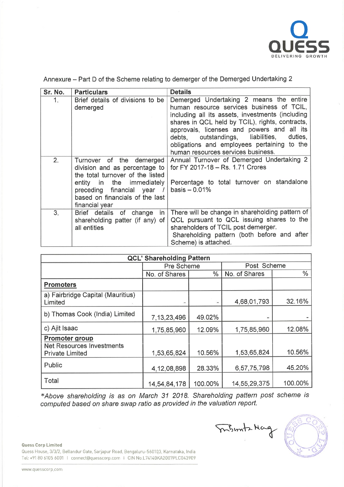

| Sr. No. | <b>Particulars</b>                                                                                                                                                                                            | <b>Details</b>                                                                                                                                                                                                                                                                                                                                                                 |
|---------|---------------------------------------------------------------------------------------------------------------------------------------------------------------------------------------------------------------|--------------------------------------------------------------------------------------------------------------------------------------------------------------------------------------------------------------------------------------------------------------------------------------------------------------------------------------------------------------------------------|
| 1.      | Brief details of divisions to be<br>demerged                                                                                                                                                                  | Demerged Undertaking 2 means the entire<br>human resource services business of TCIL,<br>including all its assets, investments (including<br>shares in QCL held by TCIL), rights, contracts,<br>approvals, licenses and powers and all its<br>debts, outstandings, liabilities,<br>duties,<br>obligations and employees pertaining to the<br>human resources services business. |
| 2.      | Turnover of the demerged<br>division and as percentage to<br>the total turnover of the listed<br>entity in the immediately<br>preceding financial year /<br>based on financials of the last<br>financial year | Annual Turnover of Demerged Undertaking 2<br>for FY 2017-18 - Rs. 1.71 Crores<br>Percentage to total turnover on standalone<br>$basis - 0.01%$                                                                                                                                                                                                                                 |
| 3.      | Brief details of change<br>in I<br>shareholding patter (if any) of<br>all entities                                                                                                                            | There will be change in shareholding pattern of<br>QCL pursuant to QCL issuing shares to the<br>shareholders of TCIL post demerger.<br>Shareholding pattern (both before and after<br>Scheme) is attached.                                                                                                                                                                     |

Annexure - Part D of the Scheme relating to demerger of the Demerged Undertaking 2

| <b>QCL' Shareholding Pattern</b>                                                    |                |         |               |         |  |  |  |
|-------------------------------------------------------------------------------------|----------------|---------|---------------|---------|--|--|--|
|                                                                                     | Pre Scheme     |         | Post Scheme   |         |  |  |  |
|                                                                                     | No. of Shares  | %       | No. of Shares | $\%$    |  |  |  |
| <b>Promoters</b>                                                                    |                |         |               |         |  |  |  |
| a) Fairbridge Capital (Mauritius)<br>Limited                                        |                |         | 4,68,01,793   | 32.16%  |  |  |  |
| b) Thomas Cook (India) Limited                                                      | 7, 13, 23, 496 | 49.02%  |               |         |  |  |  |
| c) Ajit Isaac                                                                       | 1,75,85,960    | 12.09%  | 1,75,85,960   | 12.08%  |  |  |  |
| <b>Promoter group</b><br><b>Net Resources Investments</b><br><b>Private Limited</b> | 1,53,65,824    | 10.56%  | 1,53,65,824   | 10.56%  |  |  |  |
| Public                                                                              | 4, 12, 08, 898 | 28.33%  | 6,57,75,798   | 45.20%  |  |  |  |
| Total                                                                               | 14,54,84,178   | 100.00% | 14,55,29,375  | 100.00% |  |  |  |

\*Above shareholding is as on March 31 2018. Shareholding pattern post scheme is computed based on share swap ratio as provided in the valuation report.

Quess Corp Limited Quess House, 3/3/2, Bellandur Gate, Sarjapur Road, Bengaluru-56010), Karnataka, India Tel: +91 80 6105 6001 I connect@quesscorp.com I CIN No.L74140KA2007PLC043909

Mont-Mag